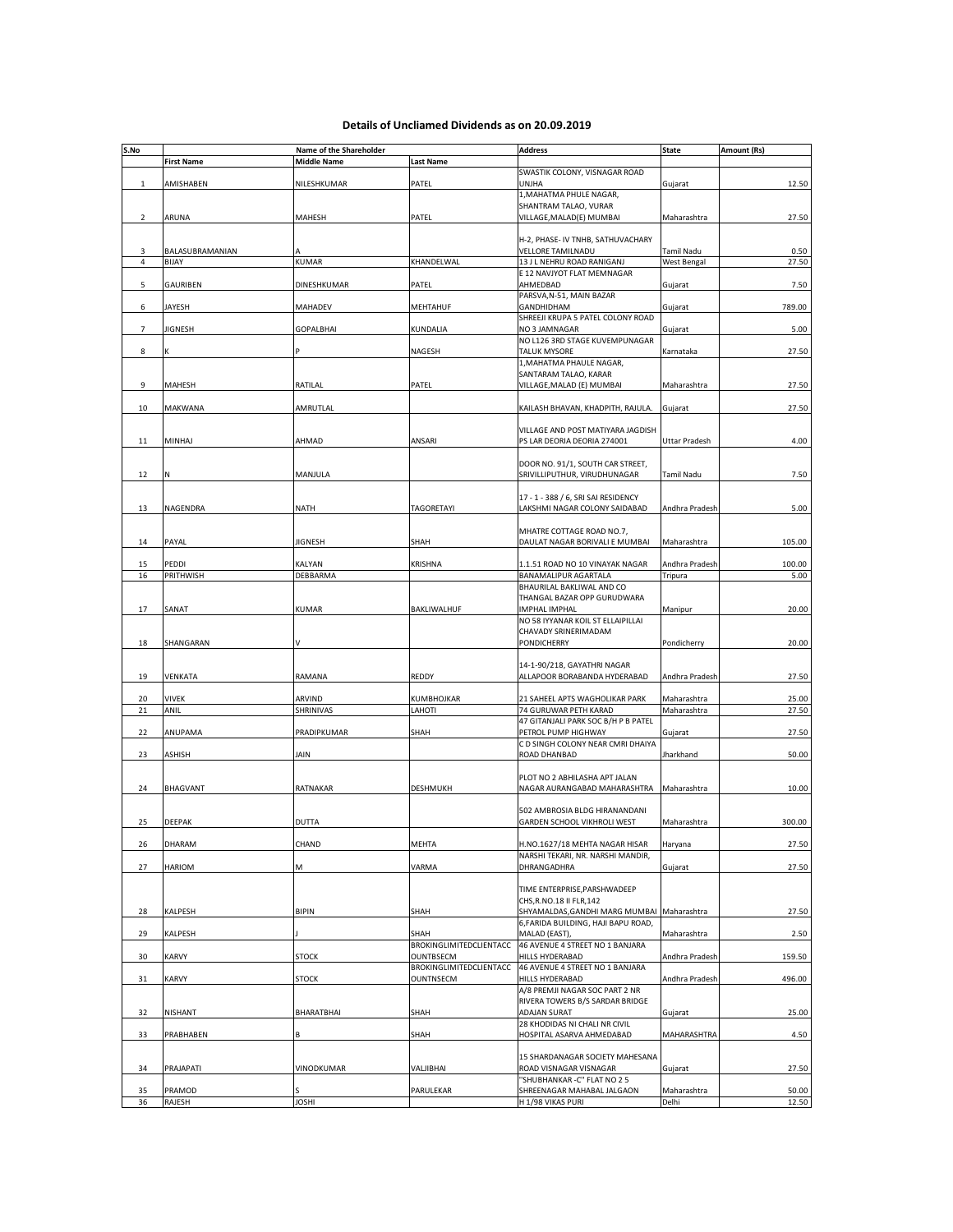## **Details of Uncliamed Dividends as on 20.09.2019**

| S.No           |                          | Name of the Shareholder |                                      | <b>Address</b>                                                   | <b>State</b>                     | Amount (Rs)   |
|----------------|--------------------------|-------------------------|--------------------------------------|------------------------------------------------------------------|----------------------------------|---------------|
|                | <b>First Name</b>        | <b>Middle Name</b>      | <b>Last Name</b>                     |                                                                  |                                  |               |
|                |                          |                         |                                      | SWASTIK COLONY, VISNAGAR ROAD                                    |                                  |               |
| $\mathbf{1}$   | AMISHABEN                | NILESHKUMAR             | PATEL                                | UNJHA<br>1, MAHATMA PHULE NAGAR,                                 | Gujarat                          | 12.50         |
|                |                          |                         |                                      | SHANTRAM TALAO, VURAR                                            |                                  |               |
| $\overline{2}$ | ARUNA                    | MAHESH                  | PATEL                                | VILLAGE, MALAD(E) MUMBAI                                         | Maharashtra                      | 27.50         |
|                |                          |                         |                                      |                                                                  |                                  |               |
|                |                          |                         |                                      | H-2, PHASE- IV TNHB, SATHUVACHARY                                |                                  |               |
| 3<br>4         | BALASUBRAMANIAN<br>BIJAY | <b>KUMAR</b>            | KHANDELWAL                           | VELLORE TAMILNADU<br>13 J L NEHRU ROAD RANIGANJ                  | Tamil Nadu<br><b>West Bengal</b> | 0.50<br>27.50 |
|                |                          |                         |                                      | E 12 NAVJYOT FLAT MEMNAGAR                                       |                                  |               |
| 5              | GAURIBEN                 | DINESHKUMAR             | PATEL                                | AHMEDBAD                                                         | Gujarat                          | 7.50          |
|                |                          |                         |                                      | PARSVA, N-51, MAIN BAZAR                                         |                                  |               |
| 6              | JAYESH                   | <b>MAHADEV</b>          | MEHTAHUF                             | GANDHIDHAM                                                       | Gujarat                          | 789.00        |
| $\overline{7}$ | JIGNESH                  | <b>GOPALBHAI</b>        | KUNDALIA                             | SHREEJI KRUPA 5 PATEL COLONY ROAD<br>NO 3 JAMNAGAR               | Gujarat                          | 5.00          |
|                |                          |                         |                                      | NO L126 3RD STAGE KUVEMPUNAGAR                                   |                                  |               |
| 8              |                          |                         | NAGESH                               | <b>TALUK MYSORE</b>                                              | Karnataka                        | 27.50         |
|                |                          |                         |                                      | 1, MAHATMA PHAULE NAGAR,                                         |                                  |               |
|                |                          |                         |                                      | SANTARAM TALAO, KARAR                                            |                                  |               |
| 9              | MAHESH                   | RATILAL                 | PATEL                                | VILLAGE, MALAD (E) MUMBAI                                        | Maharashtra                      | 27.50         |
| 10             | MAKWANA                  | AMRUTLAL                |                                      | KAILASH BHAVAN, KHADPITH, RAJULA.                                | Gujarat                          | 27.50         |
|                |                          |                         |                                      |                                                                  |                                  |               |
|                |                          |                         |                                      | VILLAGE AND POST MATIYARA JAGDISH                                |                                  |               |
| 11             | MINHAJ                   | AHMAD                   | ANSARI                               | PS LAR DEORIA DEORIA 274001                                      | <b>Uttar Pradesh</b>             | 4.00          |
|                |                          |                         |                                      |                                                                  |                                  |               |
| 12             |                          | MANJULA                 |                                      | DOOR NO. 91/1, SOUTH CAR STREET,<br>SRIVILLIPUTHUR, VIRUDHUNAGAR | Tamil Nadu                       | 7.50          |
|                |                          |                         |                                      |                                                                  |                                  |               |
|                |                          |                         |                                      | 17 - 1 - 388 / 6, SRI SAI RESIDENCY                              |                                  |               |
| 13             | NAGENDRA                 | <b>NATH</b>             | <b>TAGORETAYI</b>                    | LAKSHMI NAGAR COLONY SAIDABAD                                    | Andhra Pradesh                   | 5.00          |
|                |                          |                         |                                      |                                                                  |                                  |               |
| 14             | PAYAL                    | <b>JIGNESH</b>          | SHAH                                 | MHATRE COTTAGE ROAD NO.7,<br>DAULAT NAGAR BORIVALI E MUMBAI      | Maharashtra                      | 105.00        |
|                |                          |                         |                                      |                                                                  |                                  |               |
| 15             | PEDDI                    | KALYAN                  | KRISHNA                              | 1.1.51 ROAD NO 10 VINAYAK NAGAR                                  | Andhra Pradesh                   | 100.00        |
| 16             | PRITHWISH                | <b>DEBBARMA</b>         |                                      | <b>BANAMALIPUR AGARTALA</b>                                      | Tripura                          | 5.00          |
|                |                          |                         |                                      | BHAURILAL BAKLIWAL AND CO                                        |                                  |               |
|                |                          |                         |                                      | THANGAL BAZAR OPP GURUDWARA                                      |                                  |               |
| 17             | SANAT                    | <b>KUMAR</b>            | BAKLIWALHUF                          | <b>IMPHAL IMPHAL</b><br>NO 58 IYYANAR KOIL ST ELLAIPILLAI        | Manipur                          | 20.00         |
|                |                          |                         |                                      | CHAVADY SRINERIMADAM                                             |                                  |               |
| 18             | SHANGARAN                |                         |                                      | <b>PONDICHERRY</b>                                               | Pondicherry                      | 20.00         |
|                |                          |                         |                                      |                                                                  |                                  |               |
|                |                          |                         |                                      | 14-1-90/218, GAYATHRI NAGAR                                      |                                  |               |
| 19             | VENKATA                  | RAMANA                  | REDDY                                | ALLAPOOR BORABANDA HYDERABAD                                     | Andhra Pradesh                   | 27.50         |
| 20             | <b>VIVEK</b>             | ARVIND                  | KUMBHOJKAR                           | 21 SAHEEL APTS WAGHOLIKAR PARK                                   | Maharashtra                      | 25.00         |
| 21             | ANIL                     | SHRINIVAS               | LAHOTI                               | 74 GURUWAR PETH KARAD                                            | Maharashtra                      | 27.50         |
|                |                          |                         |                                      | 47 GITANJALI PARK SOC B/H P B PATEL                              |                                  |               |
| 22             | ANUPAMA                  | PRADIPKUMAR             | SHAH                                 | PETROL PUMP HIGHWAY                                              | Gujarat                          | 27.50         |
|                |                          |                         |                                      | C D SINGH COLONY NEAR CMRI DHAIYA                                |                                  | 50.00         |
| 23             | ASHISH                   | JAIN                    |                                      | ROAD DHANBAD                                                     | Jharkhand                        |               |
|                |                          |                         |                                      | PLOT NO 2 ABHILASHA APT JALAN                                    |                                  |               |
| 24             | <b>BHAGVANT</b>          | RATNAKAR                | DESHMUKH                             | NAGAR AURANGABAD MAHARASHTRA                                     | Maharashtra                      | 10.00         |
|                |                          |                         |                                      |                                                                  |                                  |               |
|                |                          |                         |                                      | 502 AMBROSIA BLDG HIRANANDANI                                    |                                  |               |
| 25             | DEEPAK                   | <b>DUTTA</b>            |                                      | GARDEN SCHOOL VIKHROLI WEST                                      | Maharashtra                      | 300.00        |
| 26             | DHARAM                   | CHAND                   | MEHTA                                | H.NO.1627/18 MEHTA NAGAR HISAR                                   | Haryana                          | 27.50         |
|                |                          |                         |                                      | NARSHI TEKARI, NR. NARSHI MANDIR,                                |                                  |               |
| 27             | HARIOM                   | M                       | VARMA                                | DHRANGADHRA                                                      | Gujarat                          | 27.50         |
|                |                          |                         |                                      |                                                                  |                                  |               |
|                |                          |                         |                                      | TIME ENTERPRISE, PARSHWADEEP<br>CHS, R.NO.18 II FLR, 142         |                                  |               |
| 28             | KALPESH                  | <b>BIPIN</b>            | SHAH                                 | SHYAMALDAS, GANDHI MARG MUMBAI Maharashtra                       |                                  | 27.50         |
|                |                          |                         |                                      | 6, FARIDA BUILDING, HAJI BAPU ROAD,                              |                                  |               |
| 29             | KALPESH                  |                         | SHAH                                 | MALAD (EAST),                                                    | Maharashtra                      | 2.50          |
|                |                          |                         | BROKINGLIMITEDCLIENTACC              | 46 AVENUE 4 STREET NO 1 BANJARA                                  |                                  |               |
| 30             | KARVY                    | <b>STOCK</b>            | OUNTBSECM                            | HILLS HYDERABAD                                                  | Andhra Pradesh                   | 159.50        |
| 31             | KARVY                    | <b>STOCK</b>            | BROKINGLIMITEDCLIENTACC<br>OUNTNSECM | 46 AVENUE 4 STREET NO 1 BANJARA<br>HILLS HYDERABAD               | Andhra Pradesh                   | 496.00        |
|                |                          |                         |                                      | A/8 PREMJI NAGAR SOC PART 2 NR                                   |                                  |               |
|                |                          |                         |                                      | RIVERA TOWERS B/S SARDAR BRIDGE                                  |                                  |               |
| 32             | NISHANT                  | BHARATBHAI              | SHAH                                 | ADAJAN SURAT                                                     | Gujarat                          | 25.00         |
|                |                          |                         |                                      | 28 KHODIDAS NI CHALI NR CIVIL                                    |                                  |               |
| 33             | PRABHABEN                |                         | SHAH                                 | HOSPITAL ASARVA AHMEDABAD                                        | MAHARASHTRA                      | 4.50          |
|                |                          |                         |                                      | 15 SHARDANAGAR SOCIETY MAHESANA                                  |                                  |               |
| 34             | PRAJAPATI                | VINODKUMAR              | VALJIBHAI                            | ROAD VISNAGAR VISNAGAR                                           | Gujarat                          | 27.50         |
|                |                          |                         |                                      | "SHUBHANKAR - C" FLAT NO 2 5                                     |                                  |               |
| 35             | PRAMOD                   |                         | PARULEKAR                            | SHREENAGAR MAHABAL JALGAON                                       | Maharashtra                      | 50.00         |
| 36             | RAJESH                   | <b>JOSHI</b>            |                                      | H 1/98 VIKAS PURI                                                | Delhi                            | 12.50         |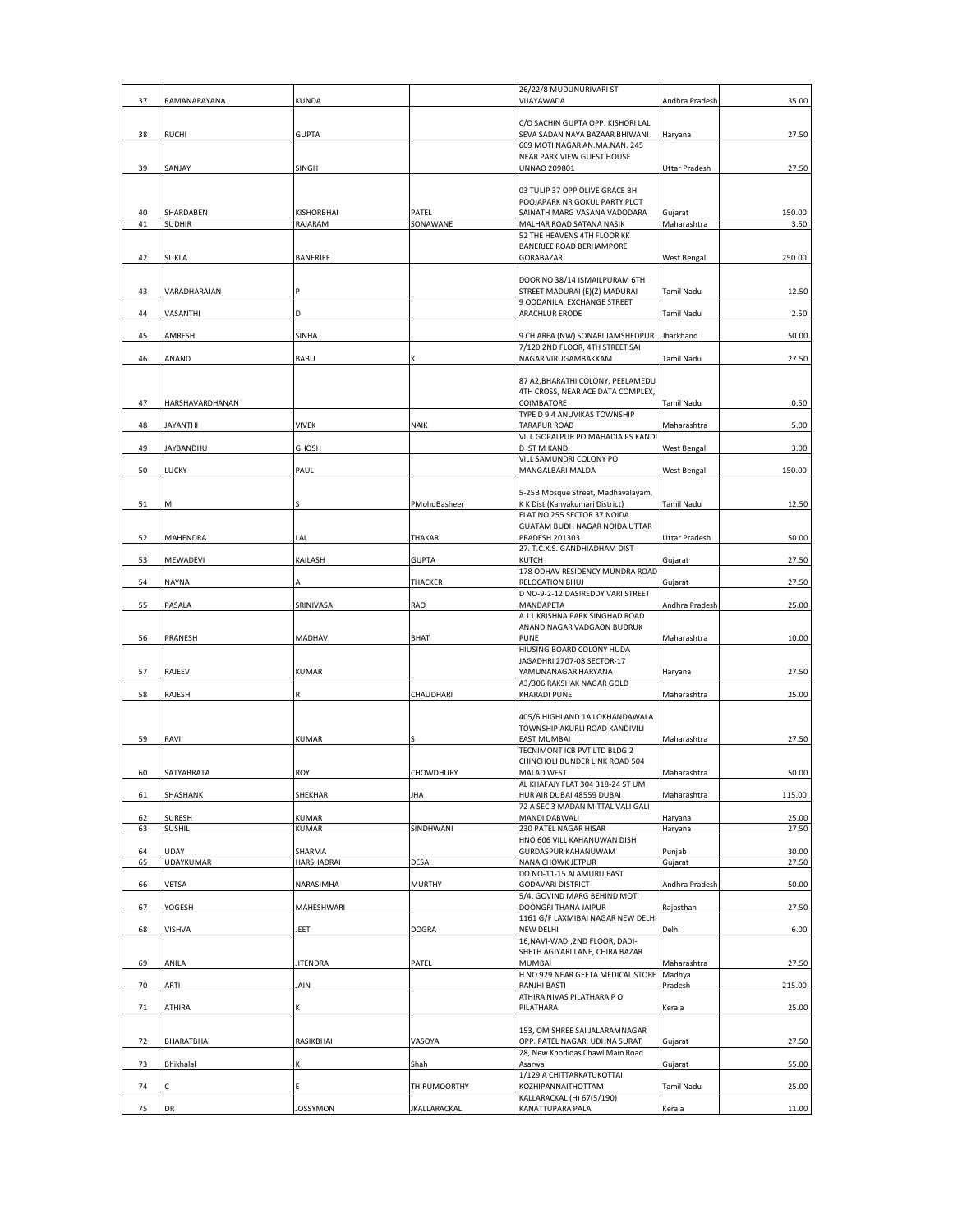| 37     | RAMANARAYANA     | KUNDA             |               | 26/22/8 MUDUNURIVARI ST<br>VIJAYAWADA                                 | Andhra Pradesh       | 35.00  |
|--------|------------------|-------------------|---------------|-----------------------------------------------------------------------|----------------------|--------|
|        |                  |                   |               | C/O SACHIN GUPTA OPP. KISHORI LAL                                     |                      |        |
| 38     | RUCHI            | <b>GUPTA</b>      |               | SEVA SADAN NAYA BAZAAR BHIWANI                                        | Haryana              | 27.50  |
|        |                  |                   |               | 609 MOTI NAGAR AN.MA.NAN. 245                                         |                      |        |
| 39     | SANJAY           | SINGH             |               | NEAR PARK VIEW GUEST HOUSE<br>UNNAO 209801                            | <b>Uttar Pradesh</b> | 27.50  |
|        |                  |                   |               |                                                                       |                      |        |
|        |                  |                   |               | 03 TULIP 37 OPP OLIVE GRACE BH                                        |                      |        |
| 40     | SHARDABEN        | KISHORBHAI        | PATEL         | POOJAPARK NR GOKUL PARTY PLOT<br>SAINATH MARG VASANA VADODARA         | Gujarat              | 150.00 |
| 41     | SUDHIR           | RAJARAM           | SONAWANE      | MALHAR ROAD SATANA NASIK                                              | Maharashtra          | 3.50   |
|        |                  |                   |               | 52 THE HEAVENS 4TH FLOOR KK                                           |                      |        |
|        |                  |                   |               | BANERJEE ROAD BERHAMPORE                                              |                      |        |
| 42     | SUKLA            | BANERJEE          |               | GORABAZAR                                                             | <b>West Bengal</b>   | 250.00 |
|        |                  |                   |               | DOOR NO 38/14 ISMAILPURAM 6TH                                         |                      |        |
| 43     | VARADHARAJAN     |                   |               | STREET MADURAI (E)(Z) MADURAI                                         | Tamil Nadu           | 12.50  |
|        |                  |                   |               | 9 OODANILAI EXCHANGE STREET                                           |                      |        |
| 44     | VASANTHI         | D                 |               | ARACHLUR ERODE                                                        | Tamil Nadu           | 2.50   |
| 45     | AMRESH           | <b>SINHA</b>      |               | 9 CH AREA (NW) SONARI JAMSHEDPUR                                      | Jharkhand            | 50.00  |
|        |                  |                   |               | 7/120 2ND FLOOR, 4TH STREET SAI                                       |                      |        |
| 46     | ANAND            | <b>BABU</b>       |               | NAGAR VIRUGAMBAKKAM                                                   | Tamil Nadu           | 27.50  |
|        |                  |                   |               | 87 A2, BHARATHI COLONY, PEELAMEDU                                     |                      |        |
|        |                  |                   |               | 4TH CROSS, NEAR ACE DATA COMPLEX,                                     |                      |        |
| 47     | HARSHAVARDHANAN  |                   |               | COIMBATORE                                                            | Tamil Nadu           | 0.50   |
|        |                  |                   |               | TYPE D 9 4 ANUVIKAS TOWNSHIP                                          |                      |        |
| 48     | <b>JAYANTHI</b>  | <b>VIVEK</b>      | <b>NAIK</b>   | <b>TARAPUR ROAD</b>                                                   | Maharashtra          | 5.00   |
| 49     | <b>JAYBANDHU</b> | <b>GHOSH</b>      |               | VILL GOPALPUR PO MAHADIA PS KANDI<br>D IST M KANDI                    | West Bengal          | 3.00   |
|        |                  |                   |               | VILL SAMUNDRI COLONY PO                                               |                      |        |
| 50     | LUCKY            | PAUL              |               | MANGALBARI MALDA                                                      | West Bengal          | 150.00 |
|        |                  |                   |               |                                                                       |                      |        |
| 51     | м                |                   | PMohdBasheer  | 5-25B Mosque Street, Madhavalayam,<br>K K Dist (Kanyakumari District) | Tamil Nadu           | 12.50  |
|        |                  |                   |               | FLAT NO 255 SECTOR 37 NOIDA                                           |                      |        |
|        |                  |                   |               | GUATAM BUDH NAGAR NOIDA UTTAR                                         |                      |        |
| 52     | MAHENDRA         | LAL               | THAKAR        | PRADESH 201303                                                        | <b>Uttar Pradesh</b> | 50.00  |
| 53     | MEWADEVI         | KAILASH           | <b>GUPTA</b>  | 27. T.C.X.S. GANDHIADHAM DIST-<br>KUTCH                               | Gujarat              | 27.50  |
|        |                  |                   |               | 178 ODHAV RESIDENCY MUNDRA ROAD                                       |                      |        |
| 54     | NAYNA            |                   | THACKER       | <b>RELOCATION BHUJ</b>                                                | Gujarat              | 27.50  |
|        |                  |                   |               | D NO-9-2-12 DASIREDDY VARI STREET                                     |                      |        |
| 55     | PASALA           | SRINIVASA         | RAO           | MANDAPETA<br>A 11 KRISHNA PARK SINGHAD ROAD                           | Andhra Pradesh       | 25.00  |
|        |                  |                   |               | ANAND NAGAR VADGAON BUDRUK                                            |                      |        |
| 56     | PRANESH          | MADHAV            | BHAT          | <b>PUNE</b>                                                           | Maharashtra          | 10.00  |
|        |                  |                   |               | HIUSING BOARD COLONY HUDA                                             |                      |        |
|        |                  |                   |               | JAGADHRI 2707-08 SECTOR-17                                            |                      |        |
| 57     | RAJEEV           | <b>KUMAR</b>      |               | YAMUNANAGAR HARYANA<br>A3/306 RAKSHAK NAGAR GOLD                      | Haryana              | 27.50  |
| 58     | RAJESH           |                   | CHAUDHARI     | KHARADI PUNE                                                          | Maharashtra          | 25.00  |
|        |                  |                   |               |                                                                       |                      |        |
|        |                  |                   |               | 405/6 HIGHLAND 1A LOKHANDAWALA                                        |                      |        |
| 59     | RAVI             | <b>KUMAR</b>      |               | TOWNSHIP AKURLI ROAD KANDIVILI<br><b>EAST MUMBAI</b>                  | Maharashtra          | 27.50  |
|        |                  |                   |               | TECNIMONT ICB PVT LTD BLDG 2                                          |                      |        |
|        |                  |                   |               | CHINCHOLI BUNDER LINK ROAD 504                                        |                      |        |
| 60     | SATYABRATA       | ROY               | CHOWDHURY     | MALAD WEST                                                            | Maharashtra          | 50.00  |
| 61     | SHASHANK         | SHEKHAR           | JHA           | AL KHAFAJY FLAT 304 318-24 ST UM<br>HUR AIR DUBAI 48559 DUBAI.        | Maharashtra          | 115.00 |
|        |                  |                   |               | 72 A SEC 3 MADAN MITTAL VALI GALI                                     |                      |        |
| 62     | <b>SURESH</b>    | <b>KUMAR</b>      |               | MANDI DABWALI                                                         | Haryana              | 25.00  |
| 63     | SUSHIL           | KUMAR             | SINDHWANI     | 230 PATEL NAGAR HISAR<br>HNO 606 VILL KAHANUWAN DISH                  | Haryana              | 27.50  |
| 64     | UDAY             | SHARMA            |               | <b>GURDASPUR KAHANUWAM</b>                                            | Punjab               | 30.00  |
| 65     | <b>UDAYKUMAR</b> | <b>HARSHADRAI</b> | DESAI         | NANA CHOWK JETPUR                                                     | Gujarat              | 27.50  |
|        |                  |                   |               | DO NO-11-15 ALAMURU EAST                                              |                      |        |
| 66     | VETSA            | NARASIMHA         | <b>MURTHY</b> | <b>GODAVARI DISTRICT</b><br>5/4, GOVIND MARG BEHIND MOTI              | Andhra Pradesh       | 50.00  |
| 67     | YOGESH           | MAHESHWARI        |               | DOONGRI THANA JAIPUR                                                  | Rajasthan            | 27.50  |
|        |                  |                   |               | 1161 G/F LAXMIBAI NAGAR NEW DELHI                                     |                      |        |
| 68     | VISHVA           | JEET              | <b>DOGRA</b>  | <b>NEW DELHI</b>                                                      | Delhi                | 6.00   |
|        |                  |                   |               | 16, NAVI-WADI, 2ND FLOOR, DADI-<br>SHETH AGIYARI LANE, CHIRA BAZAR    |                      |        |
| 69     | ANILA            | <b>JITENDRA</b>   | PATEL         | <b>MUMBAI</b>                                                         | Maharashtra          | 27.50  |
|        |                  |                   |               | H NO 929 NEAR GEETA MEDICAL STORE                                     | Madhya               |        |
| 70     | ARTI             | JAIN              |               | RANJHI BASTI                                                          | Pradesh              | 215.00 |
| 71     | ATHIRA           | K                 |               | ATHIRA NIVAS PILATHARA P O<br>PILATHARA                               | Kerala               | 25.00  |
|        |                  |                   |               |                                                                       |                      |        |
|        |                  |                   |               | 153, OM SHREE SAI JALARAMNAGAR                                        |                      |        |
| 72     | BHARATBHAI       | RASIKBHAI         | VASOYA        | OPP. PATEL NAGAR, UDHNA SURAT                                         | Gujarat              | 27.50  |
| 73     | Bhikhalal        |                   | Shah          | 28, New Khodidas Chawl Main Road<br>Asarwa                            | Gujarat              | 55.00  |
|        |                  |                   |               | 1/129 A CHITTARKATUKOTTAI                                             |                      |        |
| $74\,$ |                  |                   | THIRUMOORTHY  | KOZHIPANNAITHOTTAM                                                    | Tamil Nadu           | 25.00  |
|        |                  |                   | JKALLARACKAL  | KALLARACKAL (H) 67(5/190)<br>KANATTUPARA PALA                         | Kerala               | 11.00  |
| 75     | DR               | <b>JOSSYMON</b>   |               |                                                                       |                      |        |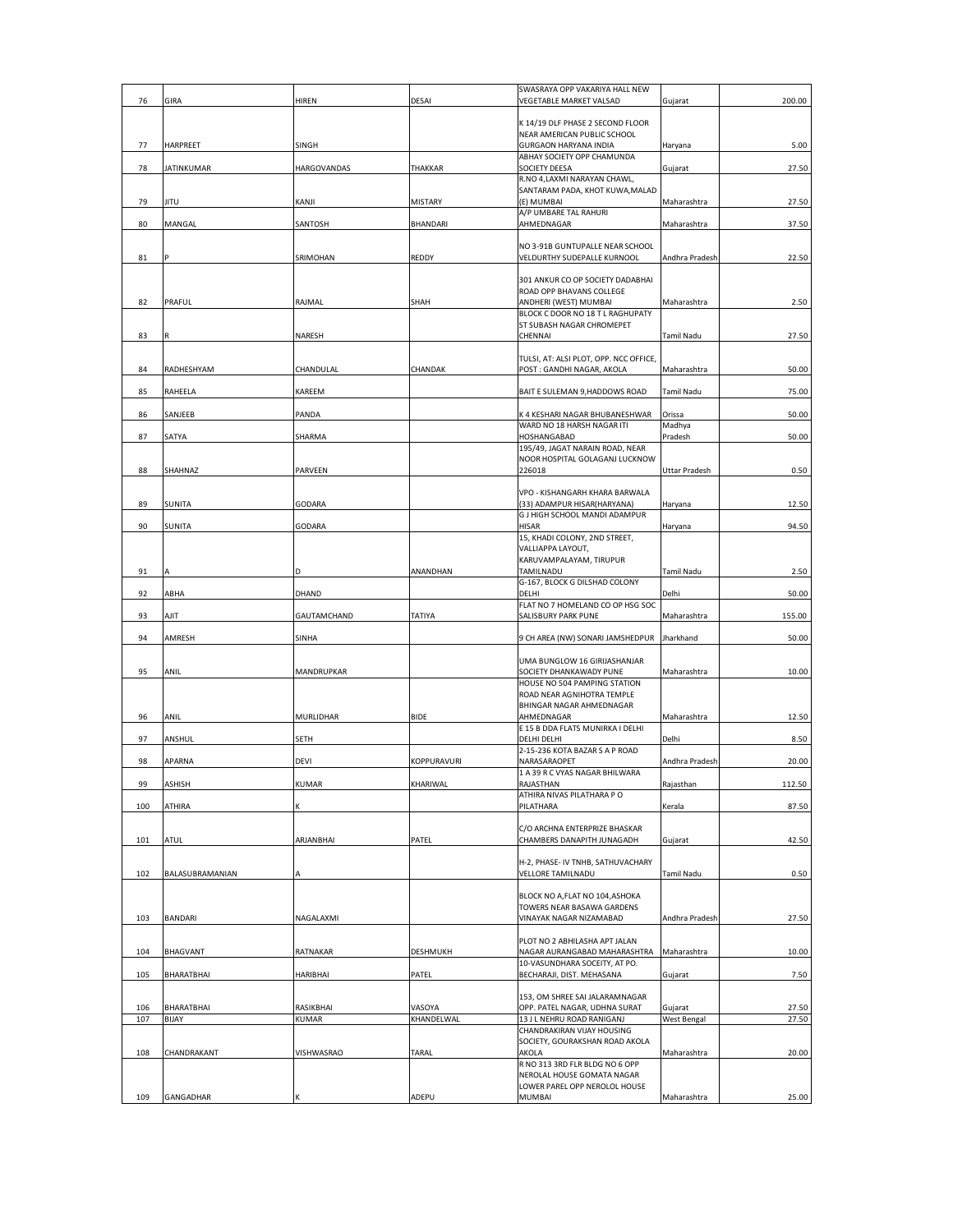|            |                     |                           |                      | SWASRAYA OPP VAKARIYA HALL NEW                               |                        |                |
|------------|---------------------|---------------------------|----------------------|--------------------------------------------------------------|------------------------|----------------|
| 76         | GIRA                | HIREN                     | DESAI                | VEGETABLE MARKET VALSAD                                      | Gujarat                | 200.00         |
|            |                     |                           |                      | K 14/19 DLF PHASE 2 SECOND FLOOR                             |                        |                |
|            |                     |                           |                      | NEAR AMERICAN PUBLIC SCHOOL                                  |                        |                |
| 77         | HARPREET            | SINGH                     |                      | <b>GURGAON HARYANA INDIA</b><br>ABHAY SOCIETY OPP CHAMUNDA   | Haryana                | 5.00           |
| 78         | <b>JATINKUMAR</b>   | HARGOVANDAS               | THAKKAR              | SOCIETY DEESA                                                | Gujarat                | 27.50          |
|            |                     |                           |                      | R.NO 4, LAXMI NARAYAN CHAWL,                                 |                        |                |
| 79         | <b>JITU</b>         | KANJI                     | <b>MISTARY</b>       | SANTARAM PADA, KHOT KUWA, MALAD<br>(E) MUMBAI                | Maharashtra            | 27.50          |
|            |                     |                           |                      | A/P UMBARE TAL RAHURI                                        |                        |                |
| 80         | MANGAL              | SANTOSH                   | BHANDARI             | AHMEDNAGAR                                                   | Maharashtra            | 37.50          |
|            |                     |                           |                      | NO 3-91B GUNTUPALLE NEAR SCHOOL                              |                        |                |
| 81         |                     | SRIMOHAN                  | <b>REDDY</b>         | VELDURTHY SUDEPALLE KURNOOL                                  | Andhra Pradesh         | 22.50          |
|            |                     |                           |                      |                                                              |                        |                |
|            |                     |                           |                      | 301 ANKUR CO OP SOCIETY DADABHAI<br>ROAD OPP BHAVANS COLLEGE |                        |                |
| 82         | PRAFUL              | RAJMAL                    | SHAH                 | ANDHERI (WEST) MUMBAI                                        | Maharashtra            | 2.50           |
|            |                     |                           |                      | BLOCK C DOOR NO 18 T L RAGHUPATY                             |                        |                |
| 83         | R                   | NARESH                    |                      | ST SUBASH NAGAR CHROMEPET<br>CHENNAI                         | Tamil Nadu             | 27.50          |
|            |                     |                           |                      |                                                              |                        |                |
|            |                     |                           |                      | TULSI, AT: ALSI PLOT, OPP. NCC OFFICE,                       |                        |                |
| 84         | RADHESHYAM          | CHANDULAL                 | CHANDAK              | POST: GANDHI NAGAR, AKOLA                                    | Maharashtra            | 50.00          |
| 85         | RAHEELA             | KAREEM                    |                      | BAIT E SULEMAN 9, HADDOWS ROAD                               | Tamil Nadu             | 75.00          |
|            |                     |                           |                      |                                                              |                        |                |
| 86         | SANJEEB             | PANDA                     |                      | K 4 KESHARI NAGAR BHUBANESHWAR<br>WARD NO 18 HARSH NAGAR ITI | Orissa<br>Madhya       | 50.00          |
| 87         | SATYA               | SHARMA                    |                      | HOSHANGABAD                                                  | Pradesh                | 50.00          |
|            |                     |                           |                      | 195/49, JAGAT NARAIN ROAD, NEAR                              |                        |                |
| 88         | SHAHNAZ             | PARVEEN                   |                      | NOOR HOSPITAL GOLAGANJ LUCKNOW<br>226018                     | Uttar Pradesh          | 0.50           |
|            |                     |                           |                      |                                                              |                        |                |
|            |                     |                           |                      | VPO - KISHANGARH KHARA BARWALA                               |                        |                |
| 89         | <b>SUNITA</b>       | GODARA                    |                      | (33) ADAMPUR HISAR(HARYANA)<br>G J HIGH SCHOOL MANDI ADAMPUR | Haryana                | 12.50          |
| 90         | SUNITA              | GODARA                    |                      | <b>HISAR</b>                                                 | Haryana                | 94.50          |
|            |                     |                           |                      | 15, KHADI COLONY, 2ND STREET,                                |                        |                |
|            |                     |                           |                      | VALLIAPPA LAYOUT,<br>KARUVAMPALAYAM, TIRUPUR                 |                        |                |
| 91         |                     | D                         | ANANDHAN             | TAMILNADU                                                    | Tamil Nadu             | 2.50           |
|            |                     |                           |                      | G-167, BLOCK G DILSHAD COLONY                                |                        |                |
| 92         | ABHA                | DHAND                     |                      | DELHI                                                        | Delhi                  | 50.00          |
| 93         | AJIT                | GAUTAMCHAND               | TATIYA               | FLAT NO 7 HOMELAND CO OP HSG SOC<br>SALISBURY PARK PUNE      | Maharashtra            | 155.00         |
|            |                     |                           |                      |                                                              |                        |                |
| 94         | AMRESH              | SINHA                     |                      | 9 CH AREA (NW) SONARI JAMSHEDPUR                             | Jharkhand              | 50.00          |
|            |                     |                           |                      | UMA BUNGLOW 16 GIRIJASHANJAR                                 |                        |                |
| 95         | ANIL                | MANDRUPKAR                |                      | SOCIETY DHANKAWADY PUNE                                      | Maharashtra            | 10.00          |
|            |                     |                           |                      | HOUSE NO 504 PAMPING STATION<br>ROAD NEAR AGNIHOTRA TEMPLE   |                        |                |
|            |                     |                           |                      | BHINGAR NAGAR AHMEDNAGAR                                     |                        |                |
| 96         | <b>ANIL</b>         | MURLIDHAR                 | <b>BIDE</b>          | AHMEDNAGAR                                                   | Maharashtra            | 12.50          |
| 97         |                     |                           |                      | E 15 B DDA FLATS MUNIRKA I DELHI<br>DELHI DELHI              | Delhi                  |                |
|            | ANSHUL              | <b>SETH</b>               |                      | 2-15-236 KOTA BAZAR S A P ROAD                               |                        | 8.50           |
| 98         | APARNA              | DEVI                      | KOPPURAVURI          | NARASARAOPET                                                 | Andhra Pradesh         | 20.00          |
|            |                     |                           |                      | 1 A 39 R C VYAS NAGAR BHILWARA                               |                        |                |
| 99         | ASHISH              | KUMAR                     | KHARIWAL             | RAJASTHAN<br>ATHIRA NIVAS PILATHARA PO                       | Rajasthan              | 112.50         |
| 100        | ATHIRA              |                           |                      | PILATHARA                                                    | Kerala                 | 87.50          |
|            |                     |                           |                      | C/O ARCHNA ENTERPRIZE BHASKAR                                |                        |                |
| 101        | ATUL                | ARJANBHAI                 | PATEL                | CHAMBERS DANAPITH JUNAGADH                                   | Gujarat                | 42.50          |
|            |                     |                           |                      |                                                              |                        |                |
|            |                     |                           |                      | H-2, PHASE- IV TNHB, SATHUVACHARY                            |                        |                |
| 102        | BALASUBRAMANIAN     |                           |                      | VELLORE TAMILNADU                                            | Tamil Nadu             | 0.50           |
|            |                     |                           |                      | BLOCK NO A, FLAT NO 104, ASHOKA                              |                        |                |
|            |                     |                           |                      | TOWERS NEAR BASAWA GARDENS<br>VINAYAK NAGAR NIZAMABAD        |                        |                |
| 103        | <b>BANDARI</b>      | NAGALAXMI                 |                      |                                                              | Andhra Pradesh         | 27.50          |
|            |                     |                           |                      | PLOT NO 2 ABHILASHA APT JALAN                                |                        |                |
| 104        | <b>BHAGVANT</b>     | RATNAKAR                  | DESHMUKH             | NAGAR AURANGABAD MAHARASHTRA                                 | Maharashtra            | 10.00          |
| 105        | BHARATBHAI          | <b>HARIBHAI</b>           | PATEL                | 10-VASUNDHARA SOCEITY, AT PO.<br>BECHARAJI, DIST. MEHASANA   | Gujarat                | 7.50           |
|            |                     |                           |                      |                                                              |                        |                |
|            |                     |                           |                      | 153, OM SHREE SAI JALARAMNAGAR                               |                        |                |
| 106<br>107 | BHARATBHAI<br>BIJAY | RASIKBHAI<br><b>KUMAR</b> | VASOYA<br>KHANDELWAL | OPP. PATEL NAGAR, UDHNA SURAT<br>13 J L NEHRU ROAD RANIGANJ  | Gujarat<br>West Bengal | 27.50<br>27.50 |
|            |                     |                           |                      | CHANDRAKIRAN VIJAY HOUSING                                   |                        |                |
|            |                     |                           |                      | SOCIETY, GOURAKSHAN ROAD AKOLA                               |                        |                |
| 108        | CHANDRAKANT         | VISHWASRAO                | TARAL                | AKOLA<br>R NO 313 3RD FLR BLDG NO 6 OPP                      | Maharashtra            | 20.00          |
|            |                     |                           |                      | NEROLAL HOUSE GOMATA NAGAR                                   |                        |                |
|            |                     |                           |                      | LOWER PAREL OPP NEROLOL HOUSE                                |                        |                |
| 109        | GANGADHAR           |                           | ADEPU                | MUMBAI                                                       | Maharashtra            | 25.00          |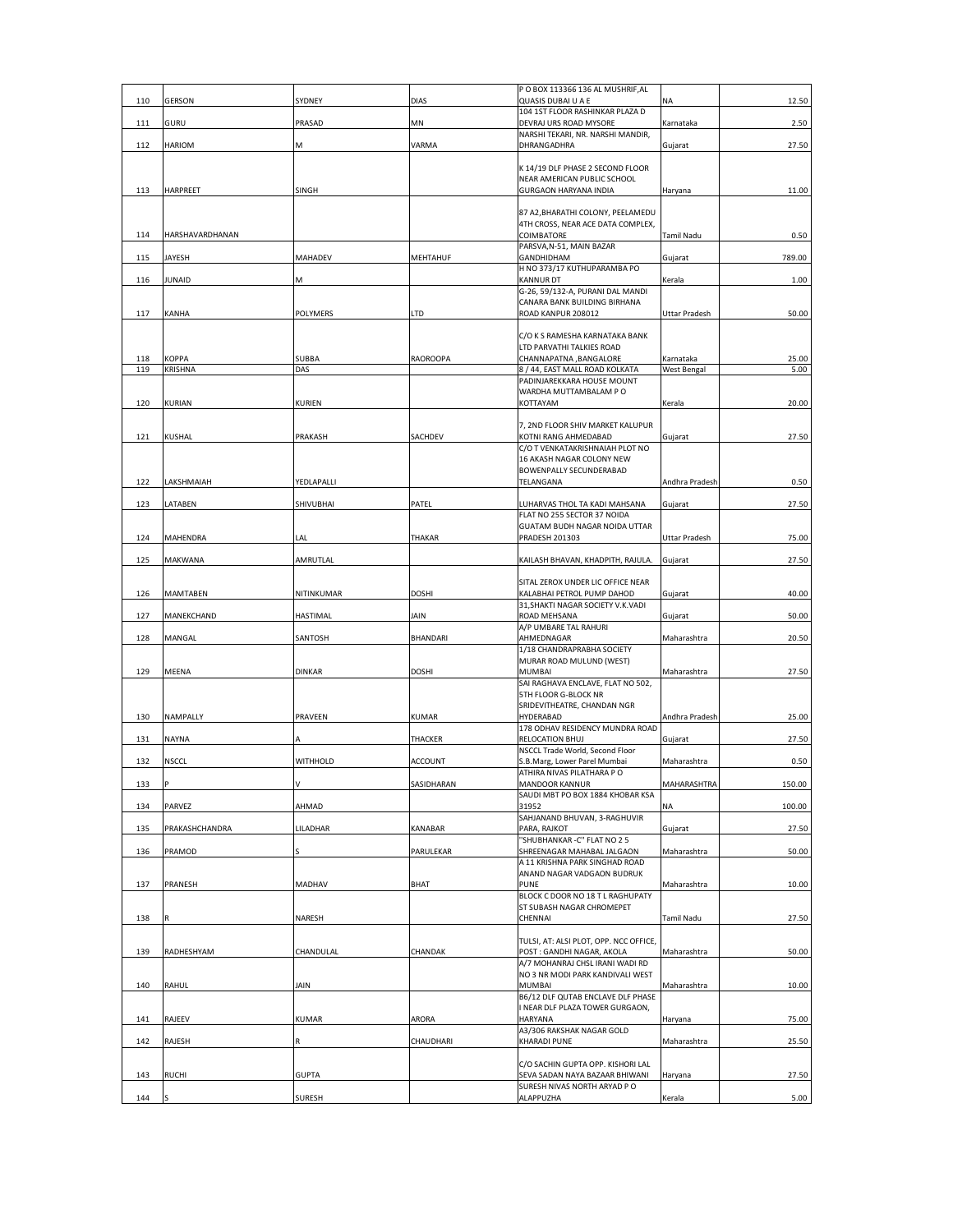|     |                 |               |                | PO BOX 113366 136 AL MUSHRIF, AL                                    |                |        |
|-----|-----------------|---------------|----------------|---------------------------------------------------------------------|----------------|--------|
| 110 | <b>GERSON</b>   | SYDNEY        | <b>DIAS</b>    | QUASIS DUBAI U A E                                                  | NA             | 12.50  |
|     | GURU            |               | MN             | 104 1ST FLOOR RASHINKAR PLAZA D                                     | Karnataka      |        |
| 111 |                 | PRASAD        |                | DEVRAJ URS ROAD MYSORE<br>NARSHI TEKARI, NR. NARSHI MANDIR,         |                | 2.50   |
| 112 | HARIOM          | М             | VARMA          | DHRANGADHRA                                                         | Gujarat        | 27.50  |
|     |                 |               |                |                                                                     |                |        |
|     |                 |               |                | K 14/19 DLF PHASE 2 SECOND FLOOR                                    |                |        |
|     |                 |               |                | NEAR AMERICAN PUBLIC SCHOOL                                         |                |        |
| 113 | <b>HARPREET</b> | SINGH         |                | <b>GURGAON HARYANA INDIA</b>                                        | Haryana        | 11.00  |
|     |                 |               |                | 87 A2, BHARATHI COLONY, PEELAMEDU                                   |                |        |
|     |                 |               |                | 4TH CROSS, NEAR ACE DATA COMPLEX,                                   |                |        |
| 114 | HARSHAVARDHANAN |               |                | COIMBATORE                                                          | Tamil Nadu     | 0.50   |
|     |                 |               |                | PARSVA, N-51, MAIN BAZAR                                            |                |        |
| 115 | JAYESH          | MAHADEV       | MEHTAHUF       | GANDHIDHAM                                                          | Gujarat        | 789.00 |
|     |                 |               |                | H NO 373/17 KUTHUPARAMBA PO                                         |                |        |
| 116 | <b>JUNAID</b>   | Μ             |                | <b>KANNUR DT</b><br>G-26, 59/132-A, PURANI DAL MANDI                | Kerala         | 1.00   |
|     |                 |               |                | CANARA BANK BUILDING BIRHANA                                        |                |        |
| 117 | KANHA           | POLYMERS      | LTD            | ROAD KANPUR 208012                                                  | Uttar Pradesh  | 50.00  |
|     |                 |               |                |                                                                     |                |        |
|     |                 |               |                | C/O K S RAMESHA KARNATAKA BANK                                      |                |        |
|     |                 |               |                | LTD PARVATHI TALKIES ROAD                                           |                |        |
| 118 | KOPPA           | <b>SUBBA</b>  | RAOROOPA       | CHANNAPATNA, BANGALORE                                              | Karnataka      | 25.00  |
| 119 | KRISHNA         | DAS           |                | 8 / 44, EAST MALL ROAD KOLKATA<br>PADINJAREKKARA HOUSE MOUNT        | West Bengal    | 5.00   |
|     |                 |               |                | WARDHA MUTTAMBALAM PO                                               |                |        |
| 120 | KURIAN          | KURIEN        |                | KOTTAYAM                                                            | Kerala         | 20.00  |
|     |                 |               |                |                                                                     |                |        |
|     |                 |               |                | 7, 2ND FLOOR SHIV MARKET KALUPUR                                    |                |        |
| 121 | KUSHAL          | PRAKASH       | SACHDEV        | KOTNI RANG AHMEDABAD                                                | Gujarat        | 27.50  |
|     |                 |               |                | C/O T VENKATAKRISHNAIAH PLOT NO                                     |                |        |
|     |                 |               |                | 16 AKASH NAGAR COLONY NEW                                           |                |        |
| 122 | LAKSHMAIAH      | YEDLAPALLI    |                | <b>BOWENPALLY SECUNDERABAD</b><br>TELANGANA                         | Andhra Pradesh | 0.50   |
|     |                 |               |                |                                                                     |                |        |
| 123 | LATABEN         | SHIVUBHAI     | PATEL          | LUHARVAS THOL TA KADI MAHSANA                                       | Gujarat        | 27.50  |
|     |                 |               |                | FLAT NO 255 SECTOR 37 NOIDA                                         |                |        |
|     |                 |               |                | GUATAM BUDH NAGAR NOIDA UTTAR                                       |                |        |
| 124 | MAHENDRA        | LAL           | THAKAR         | <b>PRADESH 201303</b>                                               | Uttar Pradesh  | 75.00  |
|     |                 |               |                |                                                                     |                |        |
| 125 | MAKWANA         | AMRUTLAL      |                | KAILASH BHAVAN, KHADPITH, RAJULA.                                   | Gujarat        | 27.50  |
|     |                 |               |                | SITAL ZEROX UNDER LIC OFFICE NEAR                                   |                |        |
| 126 | MAMTABEN        | NITINKUMAR    | <b>DOSHI</b>   | KALABHAI PETROL PUMP DAHOD                                          | Gujarat        | 40.00  |
|     |                 |               |                | 31, SHAKTI NAGAR SOCIETY V.K. VADI                                  |                |        |
| 127 | MANEKCHAND      | HASTIMAL      | JAIN           | ROAD MEHSANA                                                        | Gujarat        | 50.00  |
|     |                 |               |                | A/P UMBARE TAL RAHURI                                               |                |        |
| 128 | MANGAL          | SANTOSH       | BHANDARI       | AHMEDNAGAR                                                          | Maharashtra    | 20.50  |
|     |                 |               |                | 1/18 CHANDRAPRABHA SOCIETY                                          |                |        |
| 129 | MEENA           | <b>DINKAR</b> | <b>DOSHI</b>   | MURAR ROAD MULUND (WEST)<br>MUMBAI                                  |                | 27.50  |
|     |                 |               |                | SAI RAGHAVA ENCLAVE, FLAT NO 502,                                   | Maharashtra    |        |
|     |                 |               |                | <b>5TH FLOOR G-BLOCK NR</b>                                         |                |        |
|     |                 |               |                | SRIDEVITHEATRE, CHANDAN NGR                                         |                |        |
| 130 | NAMPALLY        | PRAVEEN       | KUMAR          | HYDERABAD                                                           | Andhra Pradesh | 25.00  |
|     |                 |               |                | 178 ODHAV RESIDENCY MUNDRA ROAD                                     |                |        |
| 131 | <b>NAYNA</b>    | Δ             | THACKER        | RELOCATION BHUJ                                                     | Gujarat        | 27.50  |
|     |                 |               |                | NSCCL Trade World, Second Floor<br>S.B.Marg, Lower Parel Mumbai     |                |        |
| 132 | NSCCL           | WITHHOLD      | <b>ACCOUNT</b> | ATHIRA NIVAS PILATHARA P O                                          | Maharashtra    | 0.50   |
| 133 |                 |               | SASIDHARAN     | MANDOOR KANNUR                                                      | MAHARASHTRA    | 150.00 |
|     |                 |               |                | SAUDI MBT PO BOX 1884 KHOBAR KSA                                    |                |        |
| 134 | PARVEZ          | AHMAD         |                | 31952                                                               | NA             | 100.00 |
|     |                 |               |                | SAHJANAND BHUVAN, 3-RAGHUVIR                                        |                |        |
| 135 | PRAKASHCHANDRA  | LILADHAR      | <b>KANABAR</b> | PARA, RAJKOT                                                        | Gujarat        | 27.50  |
|     |                 |               |                | "SHUBHANKAR - C" FLAT NO 2 5                                        |                |        |
| 136 | PRAMOD          |               | PARULEKAR      | SHREENAGAR MAHABAL JALGAON<br>A 11 KRISHNA PARK SINGHAD ROAD        | Maharashtra    | 50.00  |
|     |                 |               |                | ANAND NAGAR VADGAON BUDRUK                                          |                |        |
| 137 | PRANESH         | MADHAV        | BHAT           | <b>PUNE</b>                                                         | Maharashtra    | 10.00  |
|     |                 |               |                | BLOCK C DOOR NO 18 T L RAGHUPATY                                    |                |        |
|     |                 |               |                | ST SUBASH NAGAR CHROMEPET                                           |                |        |
| 138 |                 | NARESH        |                | CHENNAI                                                             | Tamil Nadu     | 27.50  |
|     |                 |               |                |                                                                     |                |        |
| 139 | RADHESHYAM      | CHANDULAL     | CHANDAK        | TULSI, AT: ALSI PLOT, OPP. NCC OFFICE,<br>POST: GANDHI NAGAR, AKOLA | Maharashtra    | 50.00  |
|     |                 |               |                | A/7 MOHANRAJ CHSL IRANI WADI RD                                     |                |        |
|     |                 |               |                | NO 3 NR MODI PARK KANDIVALI WEST                                    |                |        |
| 140 | RAHUL           | JAIN          |                | MUMBAI                                                              | Maharashtra    | 10.00  |
|     |                 |               |                | B6/12 DLF QUTAB ENCLAVE DLF PHASE                                   |                |        |
|     |                 |               |                | I NEAR DLF PLAZA TOWER GURGAON,                                     |                |        |
| 141 | RAJEEV          | KUMAR         | ARORA          | HARYANA                                                             | Haryana        | 75.00  |
|     |                 |               |                | A3/306 RAKSHAK NAGAR GOLD                                           |                |        |
| 142 | RAJESH          |               | CHAUDHARI      | <b>KHARADI PUNE</b>                                                 | Maharashtra    | 25.50  |
|     |                 |               |                | C/O SACHIN GUPTA OPP. KISHORI LAL                                   |                |        |
| 143 | <b>RUCHI</b>    | <b>GUPTA</b>  |                | SEVA SADAN NAYA BAZAAR BHIWANI                                      | Haryana        | 27.50  |
|     |                 |               |                | SURESH NIVAS NORTH ARYAD PO                                         |                |        |
| 144 |                 | <b>SURESH</b> |                | ALAPPUZHA                                                           | Kerala         | 5.00   |